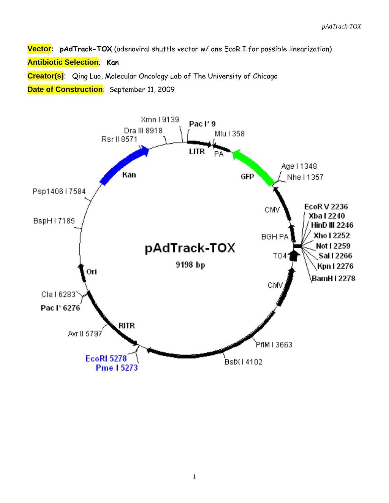**Vector: pAdTrack-TOX** (adenoviral shuttle vector w/ one EcoR I for possible linearization) **Antibiotic Selection**: **Kan**

**Creator(s)**: Qing Luo, Molecular Oncology Lab of The University of Chicago

**Date of Construction**: September 11, 2009

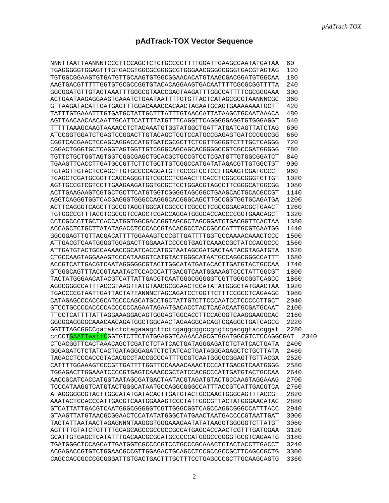# **pAdTrack-TOX Vector Sequence**

| NNNTTAATTAANNNTCCCTTCCAGCTCTCTGCCCCTTTTGGATTGAAGCCAATATGATAA     | 60   |
|------------------------------------------------------------------|------|
| TGAGGGGGTGGAGTTTGTGACGTGGCGCGGGGCGTGGGAACGGGGCGGGTGACGTAGTAG     | 120  |
| TGTGGCGGAAGTGTGATGTTGCAAGTGTGGCGGAACACATGTAAGCGACGGATGTGGCAA     | 180  |
| AAGTGACGTTTTTGGTGTGCGCCGGTGTACACAGGAAGTGACAATTTTCGCGCGGTTTTA     | 240  |
| GGCGGATGTTGTAGTAAATTTGGGCGTAACCGAGTAAGATTTGGCCATTTTCGCGGGAAA     | 300  |
| ACTGAATAAGAGGAAGTGAAATCTGAATAATTTTGTGTTACTCATAGCGCGTAANNNCGC     | 360  |
| GTTAAGATACATTGATGAGTTTGGACAAACCACAACTAGAATGCAGTGAAAAAAATGCTT     | 420  |
| TATTTGTGAAATTTGTGATGCTATTGCTTTATTTGTAACCATTATAAGCTGCAATAAACA     | 480  |
| AGTTAACAACAACAATTGCATTCATTTTATGTTTCAGGTTCAGGGGGAGGTGTGGGAGGT     | 540  |
| TTTTTAAAGCAAGTAAAACCTCTACAAATGTGGTATGGCTGATTATGATCAGTTATCTAG     | 600  |
| ATCCGGTGGATCTGAGTCCGGACTTGTACAGCTCGTCCATGCCGAGAGTGATCCCGGCGG     | 660  |
| CGGTCACGAACTCCAGCAGGACCATGTGATCGCGCTTCTCGTTGGGGTCTTTGCTCAGGG     | 720  |
| CGGACTGGGTGCTCAGGTAGTGGTTGTCGGGCAGCAGCACGGGCCCGTCGCCGATGGGGG     | 780  |
| TGTTCTGCTGGTAGTGGTCGGCGAGCTGCACGCTGCCGTCCTCGATGTTGTGGCGGATCT     | 840  |
| TGAAGTTCACCTTGATGCCGTTCTTCTGCTTGTCGGCCATGATATAGACGTTGTGGCTGT     | 900  |
| TGTAGTTGTACTCCAGCTTGTGCCCCAGGATGTTGCCGTCCTCCTTGAAGTCGATGCCCT     | 960  |
| TCAGCTCGATGCGGTTCACCAGGGTGTCGCCCTCGAACTTCACCTCGGCGCGGGTCTTGT     | 1020 |
| AGTTGCCGTCGTCCTTGAAGAAGATGGTGCGCTCCTGGACGTAGCCTTCGGGCATGGCG      | 1080 |
| ACTTGAAGAAGTCGTGCTGCTTCATGTGGTCGGGGTAGCGCTGAAGCACTGCACGCCGT      | 1140 |
| AGGTCAGGGTGGTCACGAGGGTGGCCAGGGCACGGCAGCTTGCCGGTGGTGCAGATGA       | 1200 |
| ACTTCAGGGTCAGCTTGCCGTAGGTGGCATCGCCCTCGCCCTCGCCGGACACGCTGAACT     | 1260 |
| TGTGGCCGTTTACGTCGCCGTCCAGCTCGACCAGGATGGGCACCACCCGGTGAACAGCT      | 1320 |
| CCTCGCCCTTGCTCACCATGGTGGCGACCGGTAGCGCTAGCGGATCTGACGGTTCACTAA     | 1380 |
| ACCAGCTCTGCTTATATAGACCTCCCACCGTACACGCCTACCGCCCATTTGCGTCAATGG     | 1440 |
|                                                                  | 1500 |
| ATTGACGTCAATGGGGTGGAGACTTGGAAATCCCCGTGAGTCAAACCGCTATCCACGCCC     | 1560 |
| ATTGATGTACTGCCAAAACCGCATCACCATGGTAATAGCGATGACTAATACGTAGATGTA     | 1620 |
| CTGCCAAGTAGGAAAGTCCCATAAGGTCATGTACTGGGCATAATGCCAGGCGGGCCATTT     | 1680 |
| ACCGTCATTGACGTCAATAGGGGGCGTACTTGGCATATGATACACTTGATGTACTGCCAA     | 1740 |
| GTGGGCAGTTTACCGTAAATACTCCACCCATTGACGTCAATGGAAAGTCCCTATTGGCGT     | 1800 |
| TACTATGGGAACATACGTCATTATTGACGTCAATGGGCGGGGGTCGTTGGGCGGTCAGCC     | 1860 |
| AGGCGGCCATTTACCGTAAGTTATGTAACGCGGAACTCCATATATGGGCTATGAACTAA      | 1920 |
| TGACCCCGTAATTGATTACTATTANNNCTAGCAGATCCTGGTTCTTTCCGCCTCAGAAGC     | 1980 |
| CATAGAGCCCACCGCATCCCCAGCATGCCTGCTATTGTCTTCCCAATCCTCCCCCTTGCT     | 2040 |
| GTCCTGCCCCACCCCACCCCCCAGAATAGAATGACACCTACTCAGACAATGCGATGCAAT     | 2100 |
|                                                                  | 2160 |
| GGGGGAGGGCAAACAACAGATGGCTGCAACTAGAAGGCACAGTCGAGGCTGATCAGCG       | 2220 |
| GGTTTAGCGGCCgatatctctagaaagcttctcgaggcggccgcgtcgacggtaccggat     | 2280 |
| ccCCTGAATTaattCGGTGTCTTCTATGGAGGTCAAAACAGCGTGGATGGCGTCTCCAGGCGAT | 2340 |
| CTGACGGTTCACTAAACAGCTCGATCTCTATCACTGATAGGGAGATCTCTATCACTGATA     | 2400 |
| GGGAGATCTCTATCACTGATAGGGAGATCTCTATCACTGATAGGGAGAGCTCTGCTTATA     | 2460 |
| TAGACCTCCCACCGTACACGCCTACCGCCCATTTGCGTCAATGGGGCGGAGTTGTTACGA     | 2520 |
|                                                                  | 2580 |
| TGGAGACTTGGAAATCCCCGTGAGTCAAACCGCTATCCACGCCCATTGATGTACTGCCAA     | 2640 |
| AACCGCATCACCATGGTAATAGCGATGACTAATACGTAGATGTACTGCCAAGTAGGAAAG     | 2700 |
| TCCCATAAGGTCATGTACTGGGCATAATGCCAGGCGGCCATTTACCGTCATTGACGTCA      | 2760 |
| ATAGGGGGCGTACTTGGCATATGATACACTTGATGTACTGCCAAGTGGGCAGTTTACCGT     | 2820 |
| AAATACTCCACCCATTGACGTCAATGGAAAGTCCCTATTGGCGTTACTATGGGAACATAC     | 2880 |
| GTCATTATTGACGTCAATGGGCGGGGTCGTTGGGCGGTCAGCCAGGCGGCCATTTACC       | 2940 |
| GTAAGTTATGTAACGCGGAACTCCATATATGGGCTATGAACTAATGACCCCGTAATTGAT     | 3000 |
| TACTATTAATAACTAGAGNNNTAAGGGTGGGAAAGAATATATAAGGTGGGGGTCTTATGT     | 3060 |
| AGTTTTGTATCTGTTTTGCAGCAGCCGCCGCCGCCATGAGCACCAACTCGTTTGATGGAA     | 3120 |
| GCATTGTGAGCTCATATTTGACAACGCGCATGCCCCCATGGGCCGGGGTGCGTCAGAATG     | 3180 |
| TGATGGGCTCCAGCATTGATGGTCGCCCCGTCCTGCCCGCAAACTCTACTACCTTGACCT     | 3240 |
| ACGAGACCGTGTCTGGAACGCCGTTGGAGACTGCAGCCTCCGCCGCCGCTTCAGCCGCTG     | 3300 |
| CAGCCACCGCCCGCGGGATTGTGACTGACTTTGCTTTCCTGAGCCCGCTTGCAAGCAGTG     | 3360 |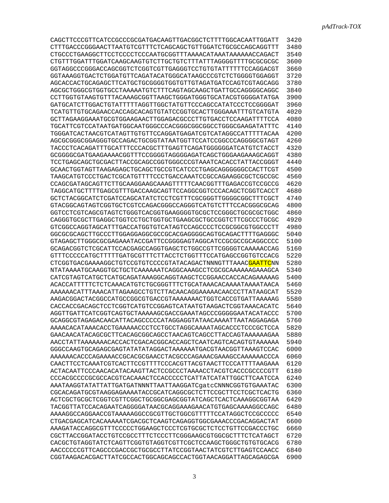| CAGCTTCCCGTTCATCCGCCCGCGATGACAAGTTGACGGCTCTTTTGGCACAATTGGATT | 3420 |
|--------------------------------------------------------------|------|
| CTTTGACCCGGGAACTTAATGTCGTTTCTCAGCAGCTGTTGGATCTGCGCCAGCAGGTTT | 3480 |
|                                                              | 3540 |
|                                                              | 3600 |
| GGTAGGCCCGGGACCAGCGGTCTCGGTCGTTGAGGGTCCTGTGTATTTTTTCCAGGACGT | 3660 |
| GGTAAAGGTGACTCTGGATGTTCAGATACATGGGCATAAGCCCGTCTCTGGGGTGGAGGT | 3720 |
| AGCACCACTGCAGAGCTTCATGCTGCGGGGTGGTGTTGTAGATGATCCAGTCGTAGCAGG | 3780 |
| AGCGCTGGCGTGGTGCCTAAAAATGTCTTTCAGTAGCAAGCTGATTGCCAGGGGCAGGC  | 3840 |
| CCTTGGTGTAAGTGTTTACAAAGCGGTTAAGCTGGGATGGGTGCATACGTGGGATATGA  | 3900 |
| GATGCATCTTGGACTGTATTTTTAGGTTGGCTATGTTCCCAGCCATATCCCTCCGGGGAT | 3960 |
| TCATGTTGTGCAGAACCACCAGCACAGTGTATCCGGTGCACTTGGGAAATTTGTCATGTA | 4020 |
| GCTTAGAAGGAAATGCGTGGAAGAACTTGGAGACGCCCTTGTGACCTCCAAGATTTTCCA | 4080 |
| TGCATTCGTCCATAATGATGGCAATGGCCCCACGGGCGGCGGCCTGGGCGAAGATATTTC | 4140 |
| TGGGATCACTAACGTCATAGTTGTGTTCCAGGATGAGATCGTCATAGGCCATTTTTACAA | 4200 |
| AGCGCGGGCGGAGGGTGCCAGACTGCGGTATAATGGTTCCATCCGGCCCAGGGGCGTAGT | 4260 |
| TACCCTCACAGATTTGCATTTCCCACGCTTTGAGTTCAGATGGGGGGATCATGTCTACCT | 4320 |
| GCGGGGCGATGAAGAAAACGGTTTCCGGGGTAGGGGAGATCAGCTGGGAAGAAAGCAGGT | 4380 |
| TCCTGAGCAGCTGCGACTTACCGCAGCCGGTGGGCCCGTAAATCACACCTATTACCGGGT | 4440 |
| GCAACTGGTAGTTAAGAGAGCTGCAGCTGCCGTCATCCCTGAGCAGGGGGGCCACTTCGT | 4500 |
| TAAGCATGTCCCTGACTCGCATGTTTTCCCTGACCAAATCCGCCAGAAGGCGCTCGCCGC | 4560 |
| CCAGCGATAGCAGTTCTTGCAAGGAAGCAAAGTTTTTCAACGGTTTGAGACCGTCCGCCG | 4620 |
| TAGGCATGCTTTTGAGCGTTTGACCAAGCAGTTCCAGGCGGTCCCACAGCTCGGTCACCT | 4680 |
| GCTCTACGGCATCTCGATCCAGCATATCTCCTCGTTTCGCGGGTTGGGGCGGCTTTCGCT | 4740 |
| GTACGGCAGTAGTCGGTGCTCGTCCAGACGGGCCAGGGTCATGTCTTTCCACGGGCGCAG | 4800 |
| GGTCCTCGTCAGCGTAGTCTGGGTCACGGTGAAGGGGTGCGCTCCGGGCTGCGCGCTGGC | 4860 |
| CAGGGTGCGCTTGAGGCTGGTCCTGCTGGTGCTGAAGCGCTGCCGGTCTTCGCCCTGCGC | 4920 |
| GTCGGCCAGGTAGCATTTGACCATGGTGTCATAGTCCAGCCCCTCCGCGGCGTGGCCCTT | 4980 |
| GGCGCGCAGCTTGCCCTTGGAGGAGGCGCCGCACGAGGGCCAGTGCAGACTTTTGAGGGC | 5040 |
| GTAGAGCTTGGGCGCGAGAAATACCGATTCCGGGGAGTAGGCATCCGCGCCCCAGGCCCC | 5100 |
| GCAGACGGTCTCGCATTCCACGAGCCAGGTGAGCTCTGGCCGTTCGGGGTCAAAAACCAG | 5160 |
| GTTTCCCCCATGCTTTTTGATGCGTTTCTTACCTCTGGTTTCCATGAGCCGGTGTCCACG | 5220 |
| CTCGGTGACGAAAAGGCTGTCCGTGTCCCCGTATACAGACTNNNGTTTAAACGAATTCNN | 5280 |
|                                                              | 5340 |
| CATCGTAGTCATGCTCATGCAGATAAAGGCAGGTAAGCTCCGGAACCACCACAGAAAAAG | 5400 |
| ACACCATTTTTCTCAAACATGTCTGCGGGTTTCTGCATAAACACAAAATAAAATAACA   | 5460 |
|                                                              | 5520 |
| AAAAAACATTTAAACATTAGAAGCCTGTCTTACAACAGGAAAAACAACCCTTATAAGCAT |      |
| AAGACGGACTACGGCCATGCCGGCGTGACCGTAAAAAACTGGTCACCGTGATTAAAAAG  | 5580 |
| CACCACCGACAGCTCCTCGGTCATGTCCGGAGTCATAATGTAAGACTCGGTAAACACATC | 5640 |
|                                                              | 5700 |
| GCAGGCGTAGAGACAACATTACAGCCCCCATAGGAGGTATAACAAAATTAATAGGAGAGA | 5760 |
| AAAACACATAAACACCTGAAAAACCCTCCTGCCTAGGCAAAATAGCACCCTCCCGCTCCA | 5820 |
| GAACAACATACAGCGCTTCACAGCGGCAGCCTAACAGTCAGCCTTACCAGTAAAAAAGAA | 5880 |
| AACCTATTAAAAAAACACCACTCGACACGGCACCAGCTCAATCAGTCACAGTGTAAAAAA | 5940 |
| GGGCCAAGTGCAGAGCGAGTATATATAGGACTAAAAAATGACGTAACGGTTAAAGTCCAC | 6000 |
| AAAAAACACCCAGAAAACCGCACGCGAACCTACGCCCAGAAACGAAAGCCAAAAAACCCA | 6060 |
| CAACTTCCTCAAATCGTCACTTCCGTTTTCCCACGTTACGTAACTTCCCATTTTAAGAAA | 6120 |
| ACTACAATTCCCAACACATACAAGTTACTCCGCCCTAAAACCTACGTCACCCGCCCCGTT | 6180 |
| CCCACGCCCCGCGCCACGTCACAAACTCCACCCCCTCATTATCATATTGGCTTCAATCCA | 6240 |
| AAATAAGGTATATTATTGATGATNNNTTAATTAAGGATCgatcCNNNCGGTGTGAAATAC | 6300 |
| CGCACAGATGCGTAAGGAGAAAATACCGCATCAGGCGCTCTTCCGCTTCCTCGCTCACTG | 6360 |
|                                                              | 6420 |
| TACGGTTATCCACAGAATCAGGGGATAACGCAGGAAAGAACATGTGAGCAAAAGGCCAGC | 6480 |
| AAAAGGCCAGGAACCGTAAAAAGGCCGCGTTGCTGGCGTTTTTCCATAGGCTCCGCCCCC | 6540 |
| CTGACGAGCATCACAAAAATCGACGCTCAAGTCAGAGGTGGCGAAACCCGACAGGACTAT | 6600 |
| AAAGATACCAGGCGTTTCCCCCTGGAAGCTCCCTCGTGCGCTCTCCTGTTCCGACCCTGC | 6660 |
| CGCTTACCGGATACCTGTCCGCCTTTCTCCCTTCGGGAAGCGTGGCGCTTTCTCATAGCT | 6720 |
| CACGCTGTAGGTATCTCAGTTCGGTGTAGGTCGTTCGCTCCAAGCTGGGCTGTGTGCACG | 6780 |
| AACCCCCCGTTCAGCCCGACCGCTGCGCCTTATCCGGTAACTATCGTCTTGAGTCCAACC | 6840 |
| CGGTAAGACACGACTTATCGCCACTGGCAGCAGCCACTGGTAACAGGATTAGCAGAGCGA | 6900 |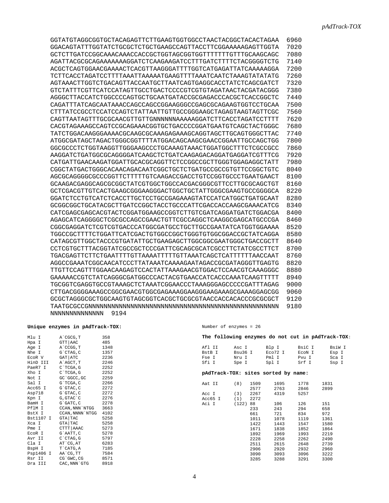| GGTATGTAGGCGGTGCTACAGAGTTCTTGAAGTGGTGGCCTAACTACGGCTACACTAGAA | 6960 |
|--------------------------------------------------------------|------|
| GGACAGTATTTGGTATCTGCGCTCTGCTGAAGCCAGTTACCTTCGGAAAAAGAGTTGGTA | 7020 |
|                                                              | 7080 |
| AGATTACGCGCAGAAAAAAAGGATCTCAAGAAGATCCTTTGATCTTTTCTACGGGGTCTG | 7140 |
| ACGCTCAGTGGAACGAAAACTCACGTTAAGGGATTTTGGTCATGAGATTATCAAAAAGGA | 7200 |
|                                                              | 7260 |
| AGTAAACTTGGTCTGACAGTTACCAATGCTTAATCAGTGAGGCACCTATCTCAGCGATCT | 7320 |
| GTCTATTTCGTTCATCCATAGTTGCCTGACTCCCCGTCGTGTAGATAACTACGATACGGG | 7380 |
| AGGGCTTACCATCTGGCCCCAGTGCTGCAATGATACCGCGAGACCCACGCTCACCGGCTC | 7440 |
| CAGATTTATCAGCAATAAACCAGCCAGCCGGAAGGGCCGAGCGCAGAAGTGGTCCTGCAA | 7500 |
|                                                              | 7560 |
| CAGTTAATAGTTTGCGCAACGTTGTTGNNNNNNAAAAAGGATCTTCACCTAGATCCTTTT | 7620 |
| CACGTAGAAAGCCAGTCCGCAGAAACGGTGCTGACCCCGGATGAATGTCAGCTACTGGGC | 7680 |
| TATCTGGACAAGGGAAAACGCAAGCGCAAAGAGAAAGCAGGTAGCTTGCAGTGGGCTTAC | 7740 |
| ATGGCGATAGCTAGACTGGGCGGTTTTATGGACAGCAAGCGAACCGAATTGCCAGCTGG  | 7800 |
| GGCGCCCTCTGGTAAGGTTGGGAAGCCCTGCAAAGTAAACTGGATGGCTTTCTCGCCGCC | 7860 |
| AAGGATCTGATGCCGCAGGGGATCAAGCTCTGATCAAGAGACAGGATGAGGATCGTTTCG | 7920 |
| CATGATTGAACAAGATGGATTGCACGCAGGTTCTCCGGCCGCTTGGGTGGAGAGGCTATT | 7980 |
| CGGCTATGACTGGGCACAACAGACAATCGGCTGCTCTGATGCCGCCGTGTTCCGGCTGTC | 8040 |
|                                                              | 8100 |
| GCAAGACGAGCCAGCGCGGCTATCGTGGCTGGCCACGACGGCGTTCCTTGCGCAGCTGT  | 8160 |
| GCTCGACGTTGTCACTGAAGCGGGAAGGGACTGGCTGCTATTGGGCGAAGTGCCGGGGCA | 8220 |
| GGATCTCCTGTCATCTCACCTTGCTCCTGCCGAGAAAGTATCCATCATGGCTGATGCAAT | 8280 |
| GCGGCGGCTGCATACGCTTGATCCGGCTACCTGCCCATTCGACCACCAAGCGAAACATCG | 8340 |
| CATCGAGCGAGCACGTACTCGGATGGAAGCCGGTCTTGTCGATCAGGATGATCTGGACGA | 8400 |
| AGAGCATCAGGGGCTCGCGCCAGCCGAACTGTTCGCCAGGCTCAAGGCGAGCATGCCCGA | 8460 |
| CGGCGAGGATCTCGTCGTGACCCATGGCGATGCCTGCTTGCCGAATATCATGGTGGAAAA | 8520 |
| TGGCCGCTTTTCTGGATTCATCGACTGTGGCCGGCTGGGTGTGCCGGACCGCTATCAGGA | 8580 |
| CATAGCGTTGGCTACCCGTGATATTGCTGAAGAGCTTGGCGGCGAATGGGCTGACCGCTT | 8640 |
| CCTCGTGCTTTACGGTATCGCCGCTCCCGATTCGCAGCGCATCGCCTTCTATCGCCTTCT | 8700 |
| TGACGAGTTCTTCTGAATTTTGTTAAAATTTTTGTTAAATCAGCTCATTTTTTAACCAAT | 8760 |
| AGGCCGAAATCGGCAACATCCCTTATAAATCAAAAGAATAGACCGCGATAGGGTTGAGTG | 8820 |
| TTGTTCCAGTTTGGAACAAGAGTCCACTATTAAAGAACGTGGACTCCAACGTCAAAGGGC | 8880 |
| GAAAAACCGTCTATCAGGGCGATGGCCCACTACGTGAACCATCACCCAAATCAAGTTTTT | 8940 |
| TGCGGTCGAGGTGCCGTAAAGCTCTAAATCGGAACCCTAAAGGGAGCCCCCGATTTAGAG | 9000 |
|                                                              | 9060 |
| GCGCTAGGGCGCTGGCAAGTGTAGCGGTCACGCTGCGCGTAACCACCACACCCGCGCGCT | 9120 |
|                                                              | 9180 |
| 9194<br><b>NNNNNNNNNNNNNNN</b>                               |      |

#### **Unique enzymes in pAdTrack-TOX:**

| Mlu I     | A`CGCG, T        | 358  |
|-----------|------------------|------|
| Hpa I     | $GTT $ AAC       | 485  |
| Age I     | A`CCGG, T        | 1348 |
| Nhe I     | G`CTAG, C        | 1357 |
| ECOR V    | GAT ATC          | 2236 |
| HinD III  | A`AGCT, T        | 2246 |
| PaeR7 I   | C`TCGA, G        | 2252 |
| Xho I     | C`TCGA, G        | 2252 |
| Not I     | GC`GGCC, GC      | 2259 |
| Sal I     | G`TCGA, C        | 2266 |
| Acc65 I   | G`GTAC, C        | 2272 |
| Asp718    | G`GTAC, C        | 2272 |
| Kpn I     | G, GTAC`C        | 2276 |
| BamH I    | G`GATC, C        | 2278 |
| PflM I    | CCAN, NNN`NTGG   | 3663 |
| BstX I    | CCAN, NNNN`NTGG  | 4102 |
| Bst1107 I | GTA TAC          | 5258 |
| Xca I     | GTA TAC          | 5258 |
| Pme I     | CTTT AAAC        | 5273 |
| EcoR I    | G`AATT, C        | 5278 |
| Avr II    | $C$ $CTAG$ , $G$ | 5797 |
| Cla I     | AT`CG,AT         | 6283 |
| BspH I    | T`CATG, A        | 7185 |
| Psp1406 I | AA`CG, TT        | 7584 |
| Rsr II    | CG`GWC, CG       | 8571 |
| Dra III   | CAC, NNN`GTG     | 8918 |

#### Number of enzymes = 26

|         | The following enzymes do not cut in pAdTrack-TOX: |              |        |        |
|---------|---------------------------------------------------|--------------|--------|--------|
| Afl II  | Asc I                                             | Blp I        | BsiC I | BsiW I |
| BstB I  | Bsu36 I                                           | Eco72 I      | ECON I | Esp I  |
| Fse I   | Nru I                                             | Pml I        | Pvu I  | Sca I  |
| Sfi I   | Spe I                                             | Spl I        | Srf I  | Ssp I  |
|         | pAdTrack-TOX: sites sorted by name:               |              |        |        |
| Aat II  | $(8)$ 1509                                        | 1695         | 1778   | 1831   |
|         | 2577                                              | 2763         | 2846   | 2899   |
| Acc I   | $(3)$ 2267                                        | 4319         | 5257   |        |
| Acc65 I | $(1)$ 2272                                        |              |        |        |
| Aci I   | (122)88                                           | 106          | 126    | 151    |
|         | 233                                               | 243          | 294    | 658    |
|         | 661                                               | 721          | 834    | 972    |
|         |                                                   | 1011<br>1078 | 1119   | 1361   |
|         | 1422                                              | 1443         | 1547   | 1580   |
|         | 1671                                              | 1838         | 1852   | 1864   |
|         | 1892                                              | 1969         | 1993   | 2219   |
|         | 2228                                              | 2258         | 2262   | 2490   |
|         | 2511                                              | 2615         | 2648   | 2739   |
|         |                                                   | 2906<br>2920 | 2932   | 2960   |
|         | 3090                                              | 3093         | 3096   | 3222   |
|         | 3285                                              | 3288         | 3291   | 3300   |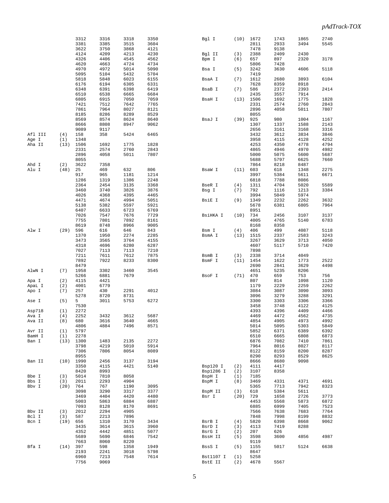|         |      | 3312         | 3316         | 3318 | 3350 | Bgl I                | (10)       | 1672         | 1743 | 1865 | 2740 |
|---------|------|--------------|--------------|------|------|----------------------|------------|--------------|------|------|------|
|         |      | 3381         | 3385         | 3515 | 3604 |                      |            | 2811         | 2933 | 3494 | 5545 |
|         |      |              |              |      |      |                      |            |              |      |      |      |
|         |      | 3622         | 3750         | 3868 | 4121 |                      |            | 7478         | 9138 |      |      |
|         |      | 4124         | 4209         | 4213 | 4230 | Bgl II               | (3)        | 2388         | 2409 | 2430 |      |
|         |      |              |              |      |      |                      |            |              |      |      |      |
|         |      | 4326         | 4406         | 4545 | 4562 | Bpm I                | (6)        | 657          | 897  | 2320 | 3178 |
|         |      | 4620         | 4663         | 4724 | 4734 |                      |            | 5806         | 7428 |      |      |
|         |      | 4970         | 4972         | 5014 | 5090 | Bsa I                | (5)        | 3242         | 3630 | 4606 | 5118 |
|         |      |              |              |      |      |                      |            |              |      |      |      |
|         |      | 5095         | 5104         | 5432 | 5704 |                      |            | 7419         |      |      |      |
|         |      | 5818         | 5848         | 6023 | 6155 | BsaA I               | (7)        | 1612         | 2680 | 3893 | 6104 |
|         |      |              |              |      |      |                      |            |              |      |      |      |
|         |      | 6176         | 6194         | 6305 | 6331 |                      |            | 7628         | 8359 | 8918 |      |
|         |      | 6348         | 6391         | 6398 | 6419 | BsaB I               | (7)        | 586          | 2372 | 2393 | 2414 |
|         |      |              |              |      |      |                      |            |              |      |      |      |
|         |      | 6510         | 6538         | 6665 | 6684 |                      |            | 2435         | 3557 | 7914 |      |
|         |      | 6805         | 6915         | 7050 | 7059 | BsaH I               | (13)       | 1506         | 1692 | 1775 | 1828 |
|         |      | 7421         | 7512         | 7642 | 7765 |                      |            | 2331         | 2574 | 2760 | 2843 |
|         |      |              |              |      |      |                      |            |              |      |      |      |
|         |      | 7861         | 7964         | 8027 | 8121 |                      |            | 2896         | 4058 | 5011 | 7807 |
|         |      | 8185         | 8286         | 8289 | 8529 |                      |            | 8055         |      |      |      |
|         |      |              |              |      | 8640 |                      |            |              |      | 1004 |      |
|         |      | 8569         | 8574         | 8624 |      | BsaJ I               | (39)       | 925          | 980  |      | 1167 |
|         |      | 8666         | 8808         | 8947 | 9062 |                      |            | 1307         | 1337 | 1588 | 2143 |
|         |      | 9089         | 9117         |      |      |                      |            | 2656         | 3161 | 3168 | 3316 |
|         |      |              |              |      |      |                      |            |              |      |      |      |
| Afl III | (4)  | 158          | 358          | 5424 | 6465 |                      |            | 3432         | 3612 | 3834 | 3846 |
| Age I   | (1)  | 1348         |              |      |      |                      |            | 3958         | 4115 | 4128 | 4252 |
|         |      | 1506         |              |      | 1828 |                      |            | 4253         | 4350 | 4778 | 4794 |
| Aha II  | (13) |              | 1692         | 1775 |      |                      |            |              |      |      |      |
|         |      | 2331         | 2574         | 2760 | 2843 |                      |            | 4865         | 4946 | 4970 | 4982 |
|         |      | 2896         | 4058         | 5011 | 7807 |                      |            | 5000         | 5075 | 5600 | 5687 |
|         |      |              |              |      |      |                      |            |              |      |      |      |
|         |      | 8055         |              |      |      |                      |            | 5688         | 5797 | 6625 | 7660 |
| Ahd I   | (2)  | 3622         | 7358         |      |      |                      |            | 7864         | 8218 | 8487 |      |
| Alu I   | (48) | 25           | 469          | 632  | 806  | BsaW I               | (11)       | 603          | 618  | 1348 | 2275 |
|         |      |              |              |      |      |                      |            |              |      |      |      |
|         |      | 917          | 965          | 1181 | 1214 |                      |            | 3997         | 5384 | 5611 | 6671 |
|         |      | 1286         | 1319         | 1386 | 2248 |                      |            | 6818         | 7788 | 8086 |      |
|         |      |              |              |      |      |                      |            |              |      |      |      |
|         |      | 2364         | 2454         | 3135 | 3368 | BseR I               | (4)        | 1311         | 4704 | 5020 | 5589 |
|         |      | 3460         | 3740         | 3826 | 3876 | Bsg I                | (7)        | 792          | 1116 | 1213 | 3384 |
|         |      |              |              |      |      |                      |            |              |      |      |      |
|         |      | 4026         | 4368         | 4395 | 4465 |                      |            | 3994         | 5049 | 5974 |      |
|         |      | 4471         | 4674         | 4994 | 5051 | BsiE I               | (9)        | 1349         | 2232 | 2262 | 3632 |
|         |      | 5138         | 5382         | 5597 | 5921 |                      |            | 5678         | 6381 | 6805 | 7964 |
|         |      |              |              |      |      |                      |            |              |      |      |      |
|         |      | 6407         | 6633         | 6723 | 6769 |                      |            | 8951         |      |      |      |
|         |      | 7026         | 7547         | 7676 | 7729 | BsiHKA I             | (10)       | 734          | 2456 | 3107 | 3137 |
|         |      |              |              |      |      |                      |            |              |      |      |      |
|         |      | 7755         | 7801         | 7892 | 8161 |                      |            | 4005         | 4765 | 5140 | 6783 |
|         |      | 8619         | 8748         | 8966 | 9005 |                      |            | 8168         | 8358 |      |      |
| Alw I   | (29) | 596          | 616          | 646  | 843  |                      | (4)        | 406          | 499  | 4087 | 5118 |
|         |      |              |              |      |      | Bsm I                |            |              |      |      |      |
|         |      | 1370         | 1950         | 2274 | 2285 | BsmA I               | (13)       | 1515         | 2337 | 2583 | 3243 |
|         |      | 3473         | 3565         | 3764 | 4155 |                      |            | 3267         | 3629 | 3713 | 4050 |
|         |      |              |              |      |      |                      |            |              |      |      |      |
|         |      | 4318         | 4696         | 6280 | 6287 |                      |            | 4607         | 5117 | 5710 | 7420 |
|         |      | 7027         | 7113         | 7113 | 7210 |                      |            | 7898         |      |      |      |
|         |      | 7211         | 7611         | 7612 | 7875 | BsmB I               | (3)        | 2338         | 3714 | 4049 |      |
|         |      |              |              |      |      |                      |            |              |      |      |      |
|         |      | 7892         | 7922         | 8233 | 8300 | BsmF I               | (11)       | 1454         | 1622 | 1773 | 2522 |
|         |      | 8479         |              |      |      |                      |            | 2690         | 2841 | 3629 | 4498 |
|         |      |              |              |      |      |                      |            |              |      |      |      |
| AlwN I  | (7)  | 1958         | 3302         | 3460 | 3545 |                      |            | 4651         | 5235 | 8206 |      |
|         |      | 5266         | 6881         | 7679 |      | BsoF I               | (71)       | 470          | 659  | 753  | 756  |
| Apa I   | (2)  | 4115         | 4421         |      |      |                      |            | 807          | 814  | 1098 | 1120 |
|         |      |              |              |      |      |                      |            |              |      |      |      |
| ApaL I  | (2)  | 4001         | 6779         |      |      |                      |            | 1179         | 2229 | 2259 | 2262 |
| Apo I   | (7)  | 257          | 430          | 2291 | 4012 |                      |            | 3084         | 3087 | 3090 | 3093 |
|         |      | 5278         |              | 8731 |      |                      |            | 3096         |      | 3288 |      |
|         |      |              | 8720         |      |      |                      |            |              | 3279 |      | 3291 |
| Ase I   | (5)  | 5            | 3011         | 5753 | 6272 |                      |            | 3300         | 3303 | 3306 | 3366 |
|         |      | 7530         |              |      |      |                      |            | 3458         | 3748 | 4122 | 4125 |
|         |      |              |              |      |      |                      |            |              |      |      |      |
| Asp718  | (1)  | 2272         |              |      |      |                      |            | 4393         | 4396 | 4409 | 4466 |
| Ava I   | (4)  | 2252         | 3432         | 3612 | 5687 |                      |            | 4469         | 4472 | 4562 | 4735 |
|         |      |              |              |      |      |                      |            |              |      |      |      |
| Ava II  | (8)  | 680          | 3616         | 3640 | 4665 |                      |            | 4854         | 4905 | 4973 | 4992 |
|         |      | 4806         | 4884         | 7496 | 8571 |                      |            | 5014         | 5095 | 5303 | 5849 |
| Avr II  | (1)  | 5797         |              |      |      |                      |            | 5852         | 6371 | 6389 | 6392 |
| BamH I  |      | 2278         |              |      |      |                      |            | 6510         | 6665 | 6808 |      |
|         | (1)  |              |              |      |      |                      |            |              |      |      | 6873 |
| Ban I   | (13) | 1300         | 1483         | 2135 | 2272 |                      |            | 6876         | 7082 | 7410 | 7861 |
|         |      | 3798         | 4219         | 5010 | 5914 |                      |            | 7964         | 8016 | 8027 | 8117 |
|         |      |              |              |      |      |                      |            |              |      |      |      |
|         |      | 7306         | 7806         | 8054 | 8089 |                      |            | 8122         | 8159 | 8200 | 8287 |
|         |      | 8955         |              |      |      |                      |            | 8290         | 8293 | 8529 | 8625 |
| Ban II  | (10) | 1990         | 2456         | 3137 | 3194 |                      |            | 8666         | 8680 | 9098 |      |
|         |      |              |              |      |      |                      |            |              |      |      |      |
|         |      | 3350         | 4115         | 4421 | 5140 | Bsp120 I             | (2)        | 4111         | 4417 |      |      |
|         |      | 8420         | 8993         |      |      | Bsp1286 I            | (2)        | 3107         | 8358 |      |      |
|         |      |              |              |      |      |                      |            |              |      |      |      |
| Bbe I   | (3)  | 5014         | 7810         | 8058 |      | BspH I               | (1)        | 7185         |      |      |      |
| Bbs I   | (3)  | 2011         | 2293         | 4904 |      | BspM I               | (8)        | 3469         | 4331 | 4371 | 4691 |
| Bbv I   | (20) | 764          | 767          | 1190 | 3095 |                      |            | 5365         | 7713 | 7942 | 8323 |
|         |      |              |              |      |      |                      |            |              |      |      |      |
|         |      | 3098         | 3290         | 3317 | 3377 | BspM II              | (3)        | 618          | 5384 | 5611 |      |
|         |      | 3469         | 4404         | 4420 | 4480 | Bsr I                | (20)       | 729          | 1658 | 2726 | 3773 |
|         |      |              |              |      |      |                      |            |              |      |      |      |
|         |      | 5003         | 5863         | 6884 | 6887 |                      |            | 4453         | 5568 | 5873 | 6872 |
|         |      | 7093         | 8128         | 8170 | 8691 |                      |            | 6885         | 6999 | 7405 | 7523 |
| Bbv II  | (3)  | 2012         | 2294         | 4905 |      |                      |            | 7566         | 7638 | 7683 | 7764 |
|         |      |              |              |      |      |                      |            |              |      |      |      |
|         | (3)  | 587          | 2213         | 7896 |      |                      |            | 7848         | 7998 | 8199 | 8832 |
| Bcl I   |      |              | 1310         | 3170 | 3434 | BsrB I               | (4)        | 5820         | 6398 | 8668 | 9062 |
|         |      |              |              |      |      |                      |            |              |      |      |      |
| Bcn I   | (19) | 656          |              |      |      |                      |            |              |      |      |      |
|         |      | 3435         | 3614         | 3615 | 3960 | BsrD I               | (3)        | 4113         | 7419 | 8288 |      |
|         |      |              |              |      |      |                      |            |              |      |      |      |
|         |      | 4352         | 4442         | 4851 | 5077 | BsrG I               | (2)        | 207          | 626  |      |      |
|         |      | 5689         | 5690         | 6846 | 7542 | BssH II              | (5)        | 3598         | 3600 | 4856 | 4987 |
|         |      | 7663         | 8060         | 8220 |      |                      |            | 9119         |      |      |      |
|         |      |              |              |      |      |                      |            |              |      |      |      |
| Bfa I   | (14) | 397          | 598          | 1358 | 1949 | BssS I               | (5)        | 1155         | 5017 | 5124 | 6638 |
|         |      | 2193         | 2241         | 3018 | 5798 |                      |            | 8647         |      |      |      |
|         |      |              |              |      |      |                      |            |              |      |      |      |
|         |      | 6960<br>7756 | 7213<br>9069 | 7548 | 7614 | Bst1107 I<br>BstE II | (1)<br>(2) | 5258<br>4678 | 5567 |      |      |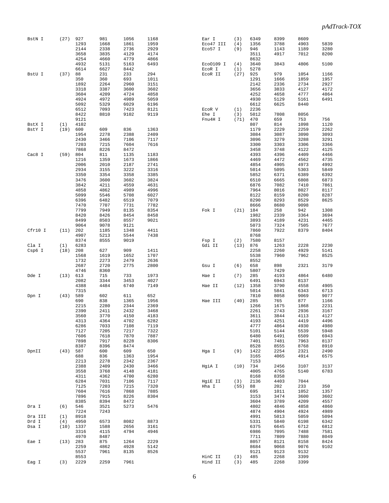| BstN I  | (27)       | 927          | 981          | 1056         | 1168         | Ear I     | (3)        | 6349 | 8399         | 8609         |              |
|---------|------------|--------------|--------------|--------------|--------------|-----------|------------|------|--------------|--------------|--------------|
|         |            | 1293         | 1668         | 1861         | 1959         | Eco47 III | (4)        | 1356 | 3788         | 4903         | 5839         |
|         |            | 2144         | 2338         | 2736         | 2929         | Eco57 I   | (9)        | 946  | 1143         | 1189         | 3280         |
|         |            |              |              |              |              |           |            |      |              |              |              |
|         |            | 3658         | 3835         | 4129         | 4174         |           |            | 3511 | 4917         | 7012         | 8200         |
|         |            | 4254         | 4660         | 4779         | 4866         |           |            | 8632 |              |              |              |
|         |            | 4932         | 5131         | 5163         | 6493         | Eco0109 I | (4)        | 3640 | 3843         | 4806         | 5100         |
|         |            | 6614         | 6627         | 8442         |              | EcoR I    | (1)        | 5278 |              |              |              |
| BstU I  | (37)       | 88           | 231          | 233          | 294          | ECOR II   | (27)       | 925  | 979          | 1054         | 1166         |
|         |            | 350          | 360          | 693          | 1011         |           |            | 1291 | 1666         | 1859         | 1957         |
|         |            | 1892         | 2264         | 2960         | 3151         |           |            | 2142 | 2336         | 2734         | 2927         |
|         |            | 3318         | 3387         | 3600         | 3602         |           |            | 3656 | 3833         | 4127         | 4172         |
|         |            | 3604         | 4209         | 4724         | 4858         |           |            | 4252 | 4658         | 4777         | 4864         |
|         |            | 4924         | 4972         | 4989         | 5059         |           |            | 4930 | 5129         | 5161         | 6491         |
|         |            | 5092         | 5329         | 6029         | 6196         |           |            | 6612 | 6625         | 8440         |              |
|         |            |              | 7093         | 7423         |              |           |            | 2236 |              |              |              |
|         |            | 6512         |              |              | 8121         | ECOR V    | (1)        |      |              |              |              |
|         |            | 8422         | 8810         | 9102         | 9119         | Ehe I     | (3)        | 5012 | 7808         | 8056         |              |
|         |            | 9121         |              |              |              | Fnu4H I   | (71)       | 470  | 659          | 753          | 756          |
| BstX I  | (1)        | 4102         |              |              |              |           |            | 807  | 814          | 1098         | 1120         |
| BstY I  | (19)       | 600          | 609          | 836          | 1363         |           |            | 1179 | 2229         | 2259         | 2262         |
|         |            | 1954         | 2278         | 2388         | 2409         |           |            | 3084 | 3087         | 3090         | 3093         |
|         |            | 2430         | 3466         | 7106         | 7117         |           |            | 3096 | 3279         | 3288         | 3291         |
|         |            | 7203         | 7215         | 7604         | 7616         |           |            | 3300 | 3303         | 3306         | 3366         |
|         |            | 7868         | 8226         | 8472         |              |           |            | 3458 | 3748         | 4122         | 4125         |
| Cac8 I  | (59)       | 804          | 811          | 1135         | 1183         |           |            | 4393 | 4396         | 4409         | 4466         |
|         |            | 1216         | 1359         | 1673         | 1866         |           |            | 4469 | 4472         | 4562         | 4735         |
|         |            |              |              |              |              |           |            |      |              |              |              |
|         |            | 2006         | 2010         | 2187         | 2741         |           |            | 4854 | 4905         | 4973         | 4992         |
|         |            | 2934         | 3155         | 3222         | 3316         |           |            | 5014 | 5095         | 5303         | 5849         |
|         |            | 3350         | 3354         | 3358         | 3385         |           |            | 5852 | 6371         | 6389         | 6392         |
|         |            | 3476         | 3600         | 3602         | 3824         |           |            | 6510 | 6665         | 6808         | 6873         |
|         |            | 3842         | 4211         | 4559         | 4631         |           |            | 6876 | 7082         | 7410         | 7861         |
|         |            | 4858         | 4862         | 4989         | 4996         |           |            | 7964 | 8016         | 8027         | 8117         |
|         |            | 5099         | 5546         | 5708         | 6027         |           |            | 8122 | 8159         | 8200         | 8287         |
|         |            | 6396         | 6482         |              | 7079         |           |            | 8290 | 8293         | 8529         |              |
|         |            |              |              | 6519         |              |           |            |      |              |              | 8625         |
|         |            | 7470         | 7707         | 7731         | 7782         |           |            | 8666 | 8680         | 9098         |              |
|         |            | 7799         | 7949         | 8135         | 8354         | Fok I     | (21)       | 184  | 258          | 942          | 1308         |
|         |            | 8420         | 8426         | 8454         | 8458         |           |            | 1982 | 2339         | 3364         | 3694         |
|         |            | 8499         | 8503         | 8557         | 9021         |           |            | 3893 | 4189         | 4231         | 4465         |
|         |            | 9064         | 9078         | 9121         |              |           |            | 5073 | 7324         | 7505         | 7677         |
| Cfr10 I | (11)       | 202          | 1185         | 1348         | 4411         |           |            | 7860 | 7922         | 8379         | 8404         |
|         |            | 4907         | 5213         | 5544         | 7438         |           |            | 8768 |              |              |              |
|         |            |              |              |              |              |           |            |      |              |              |              |
|         |            | 8374         | 8555         | 9019         |              | Fsp I     | (2)        | 7580 | 8157         |              |              |
| Cla I   | (1)        | 6283         |              |              |              | Gdi II    | (13)       | 876  | 1263         | 2228         | 2230         |
| Csp6 I  | (18)       | 208          | 627          | 909          | 1411         |           |            | 2258 | 2260         | 4929         | 5141         |
|         |            | 1568         | 1619         | 1652         | 1707         |           |            | 5538 | 7960         | 7962         | 8525         |
|         |            | 1732         | 2273         | 2479         | 2636         |           |            | 8552 |              |              |              |
|         |            | 2687         | 2720         | 2775         | 2800         | Gsu I     | (6)        | 658  | 898          | 2321         | 3179         |
|         |            | 4746         | 8360         |              |              |           |            | 5807 | 7429         |              |              |
| Dde I   | (13)       | 613          | 715          | 733          | 1973         | Hae I     | (7)        | 285  | 4193         | 4864         | 6480         |
|         |            |              |              |              |              |           |            |      |              |              |              |
|         |            | 2082         | 3344         | 3453         | 4027         |           |            | 6491 | 6943         | 8137         |              |
|         |            | 4388         | 4484         | 6740         | 7149         | Hae II    | (12)       | 1358 | 3790         | 4558         | 4905         |
|         |            | 7315         |              |              |              |           |            | 5014 | 5841         | 6343         | 6713         |
| Dpn I   | (43)       | 589          | 602          | 611          | 652          |           |            | 7810 | 8058         | 9069         | 9077         |
|         |            | 690          | 838          | 1365         | 1956         | Hae III   | (40)       | 285  | 765          | 877          | 1166         |
|         |            | 2215         | 2280         | 2344         | 2369         |           |            | 1266 | 1675         | 1868         | 2231         |
|         |            | 2390         | 2411         | 2432         | 3468         |           |            | 2261 | 2743         | 2936         | 3167         |
|         |            | 3560         | 3770         | 4150         | 4183         |           |            | 3611 | 3844         | 4113         | 4127         |
|         |            | 4313         | 4364         | 4702         | 6282         |           |            | 4193 | 4251         | 4419         | 4496         |
|         |            |              |              |              |              |           |            | 4777 |              |              |              |
|         |            | 6286<br>7127 | 7033<br>7205 | 7108<br>7217 | 7119<br>7322 |           |            | 5101 | 4864<br>5144 | 4930<br>5539 | 4980<br>5948 |
|         |            |              |              |              |              |           |            |      |              |              |              |
|         |            | 7606         | 7618         | 7870         | 7887         |           |            | 6480 | 6491         | 6509         | 6943         |
|         |            | 7898         | 7917         | 8228         | 8306         |           |            | 7401 | 7481         | 7963         | 8137         |
|         |            | 8387         | 8396         | 8474         |              |           |            | 8528 | 8555         | 8768         | 8910         |
| DpnII   | (43)       | 587          | 600          | 609          | 650          | Hga I     | (9)        | 1422 | 2254         | 2321         | 2490         |
|         |            | 688          | 836          | 1363         | 1954         |           |            | 3165 | 4065         | 4914         | 6575         |
|         |            | 2213         | 2278         | 2342         | 2367         |           |            | 7153 |              |              |              |
|         |            | 2388         | 2409         | 2430         | 3466         | HqiA I    | $(10)$ 734 |      | 2456         | 3107         | 3137         |
|         |            | 3558         | 3768         | 4148         | 4181         |           |            | 4005 | 4765         | 5140         | 6783         |
|         |            | 4311         | 4362         | 4700         | 6280         |           |            | 8168 | 8358         |              |              |
|         |            | 6284         | 7031         | 7106         | 7117         |           | (3)        | 2136 | 4403         | 7044         |              |
|         |            |              |              |              |              | HgiE II   |            |      |              |              |              |
|         |            | 7125         | 7203         | 7215         | 7320         | Hha I     | $(55)$ 88  |      | 202          | 233          | 350          |
|         |            | 7604         | 7616         | 7868         | 7885         |           |            | 695  | 1011         | 1052         | 1357         |
|         |            | 7896         | 7915         | 8226         | 8304         |           |            | 3153 | 3474         | 3600         | 3602         |
|         |            | 8385         | 8394         | 8472         |              |           |            | 3604 | 3789         | 4209         | 4557         |
| Dra I   | (6)        | 546          | 3521         | 5273         | 5476         |           |            | 4802 | 4846         | 4858         | 4860         |
|         |            | 7224         | 7243         |              |              |           |            | 4874 | 4904         | 4924         | 4989         |
| Dra III | (1)        | 8918         |              |              |              |           |            | 4991 | 5013         | 5059         | 5094         |
| Drd I   | (4)        | 4950         | 6573         | 8082         | 8873         |           |            | 5331 | 5840         | 6198         | 6342         |
|         |            |              |              |              |              |           |            |      |              |              |              |
| Dsa I   |            | $(10)$ 1337  | 1588         | 2656         | 3161         |           |            | 6375 | 6645         | 6712         | 6812         |
|         |            | 3316         | 4115         | 4794         | 4946         |           |            | 6986 | 7095         | 7488         | 7581         |
|         |            | 4970         | 8487         |              |              |           |            | 7711 | 7809         | 7880         | 8049         |
| Eae I   | $(13)$ 283 |              | 875          | 1264         | 2229         |           |            | 8057 | 8121         | 8158         | 8424         |
|         |            | 2259         | 4862         | 4928         | 5142         |           |            | 8684 | 9068         | 9076         | 9102         |
|         |            | 5537         | 7961         | 8135         | 8526         |           |            | 9121 | 9123         | 9132         |              |
|         |            | 8553         |              |              |              | HinC II   | (3)        | 485  | 2268         | 3399         |              |
|         |            | 2229         | 2259         |              |              |           |            |      |              |              |              |
| Eag I   | (3)        |              |              | 7961         |              | Hind II   | (3)        | 485  | 2268         | 3399         |              |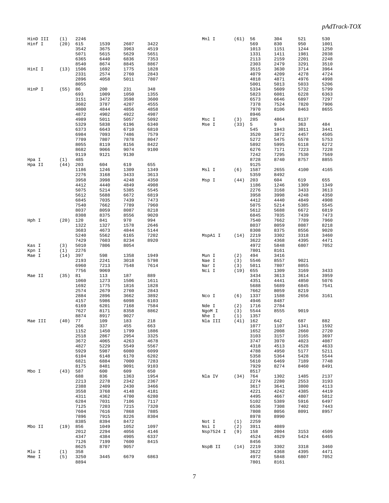| HinD III | (1)        | 2246 |      |      |      | Mnl I     | (61)       | 56   | 304  | 521  | 530  |
|----------|------------|------|------|------|------|-----------|------------|------|------|------|------|
| Hinf I   | (20)       | 615  | 1539 | 2607 | 3422 |           |            | 569  | 830  | 950  | 1001 |
|          |            | 3542 | 3675 | 3963 | 4519 |           |            | 1013 | 1151 | 1244 | 1250 |
|          |            | 5071 | 5615 | 5629 | 5651 |           |            | 1331 | 1411 | 1981 | 2038 |
|          |            | 6365 | 6440 | 6836 | 7353 |           |            | 2113 | 2159 | 2201 | 2248 |
|          |            | 8540 | 8674 | 8845 | 8867 |           |            | 2303 | 2479 | 3291 | 3510 |
| HinI I   | (13)       | 1506 | 1692 | 1775 | 1828 |           |            | 3515 | 3630 | 3714 | 3964 |
|          |            | 2331 | 2574 | 2760 | 2843 |           |            | 4079 | 4209 | 4278 | 4724 |
|          |            | 2896 | 4058 | 5011 | 7807 |           |            | 4818 | 4871 | 4976 | 4998 |
|          |            | 8055 |      |      |      |           |            | 5001 | 5013 | 5033 | 5206 |
| HinP I   | (55)       | 86   | 200  | 231  | 348  |           |            | 5334 | 5609 | 5732 | 5799 |
|          |            | 693  | 1009 | 1050 | 1355 |           |            | 5823 | 6081 | 6228 | 6363 |
|          |            | 3151 | 3472 | 3598 | 3600 |           |            | 6573 | 6646 | 6897 | 7297 |
|          |            | 3602 | 3787 | 4207 | 4555 |           |            | 7378 | 7524 | 7820 | 7906 |
|          |            | 4800 | 4844 | 4856 | 4858 |           |            | 7970 | 8106 | 8463 | 8655 |
|          |            | 4872 | 4902 | 4922 | 4987 |           |            | 8946 |      |      |      |
|          |            | 4989 | 5011 | 5057 | 5092 | Msc I     | (3)        | 285  | 4864 | 8137 |      |
|          |            | 5329 | 5838 | 6196 | 6340 | Mse I     | (33)       | 5    | 9    | 363  | 484  |
|          |            | 6373 | 6643 | 6710 | 6810 |           |            | 545  | 1943 | 3011 | 3441 |
|          |            | 6984 | 7093 | 7486 | 7579 |           |            | 3520 | 3872 | 4457 | 4505 |
|          |            | 7709 | 7807 | 7878 | 8047 |           |            | 5272 | 5475 | 5578 | 5753 |
|          |            | 8055 | 8119 | 8156 | 8422 |           |            | 5892 | 5995 | 6118 | 6272 |
|          |            | 8682 | 9066 | 9074 | 9100 |           |            | 6276 | 7171 | 7223 | 7228 |
|          |            | 9119 | 9121 | 9130 |      |           |            | 7242 | 7295 | 7530 | 7569 |
| Hpa I    | (1)        | 485  |      |      |      |           |            | 8728 | 8740 | 8757 | 8855 |
| Hpa II   | (44)       | 203  | 604  | 619  | 655  |           |            | 9125 |      |      |      |
|          |            | 1186 | 1246 | 1309 | 1349 | Msl I     | (6)        | 1587 | 2655 | 4100 | 4165 |
|          |            | 2276 | 3168 | 3433 | 3613 |           |            | 5359 | 8492 |      |      |
|          |            | 3958 | 3998 | 4248 | 4350 | Msp I     | (44)       | 203  | 604  | 619  | 655  |
|          |            | 4412 | 4440 | 4849 | 4908 |           |            | 1186 | 1246 | 1309 | 1349 |
|          |            | 5075 | 5214 | 5385 | 5545 |           |            | 2276 | 3168 | 3433 | 3613 |
|          |            | 5612 | 5688 | 6672 | 6819 |           |            | 3958 | 3998 | 4248 | 4350 |
|          |            | 6845 | 7035 | 7439 | 7473 |           |            | 4412 | 4440 | 4849 | 4908 |
|          |            | 7540 | 7662 | 7789 | 7960 |           |            | 5075 | 5214 | 5385 | 5545 |
|          |            | 8037 | 8059 | 8087 | 8218 |           |            | 5612 | 5688 | 6672 | 6819 |
|          |            | 8308 | 8375 | 8556 | 9020 |           |            | 6845 | 7035 | 7439 | 7473 |
| Hph I    | $(20)$ 120 |      | 841  | 970  | 994  |           |            | 7540 | 7662 | 7789 | 7960 |
|          |            | 1322 | 1327 | 1578 | 2646 |           |            | 8037 | 8059 | 8087 | 8218 |
|          |            | 3683 | 4673 | 4844 | 5144 |           |            | 8308 | 8375 | 8556 | 9020 |
|          |            | 5240 | 5562 | 6165 | 7202 | MspAl I   | (14)       | 2219 | 3302 | 3318 | 3460 |
|          |            | 7429 | 7603 | 8234 | 8920 |           |            | 3622 | 4368 | 4395 | 4471 |
| Kas I    | (3)        | 5010 | 7806 | 8054 |      |           |            | 4972 | 5848 | 6807 | 7052 |
| Kpn I    | (1)        | 2276 |      |      |      |           |            | 7801 | 8161 |      |      |
| Mae I    | (14)       | 397  | 598  | 1358 | 1949 | Mun I     | (2)        | 494  | 3416 |      |      |
|          |            | 2193 | 2241 | 3018 | 5798 | Nae I     | (3)        | 5546 | 8557 | 9021 |      |
|          |            | 6960 | 7213 | 7548 | 7614 | Nar I     | (3)        | 5011 | 7807 | 8055 |      |
|          |            | 7756 | 9069 |      |      | Nci I     | (19)       | 655  | 1309 | 3169 | 3433 |
| Mae II   | (35)       | 81   | 113  | 187  | 889  |           |            | 3434 | 3613 | 3614 | 3959 |
|          |            | 1060 | 1273 | 1506 | 1611 |           |            | 4351 | 4441 | 4850 | 5076 |
|          |            | 1692 | 1775 | 1816 | 1828 |           |            | 5688 | 5689 | 6845 | 7541 |
|          |            | 2574 | 2679 | 2760 | 2843 |           |            | 7662 | 8059 | 8219 |      |
|          |            | 2884 | 2896 | 3662 | 3892 | Nco I     | (6)        | 1337 | 1588 | 2656 | 3161 |
|          |            | 4157 | 5986 | 6098 | 6103 |           |            | 4946 | 8487 |      |      |
|          |            | 6169 | 6201 | 7168 | 7584 | Nde I     | (2)        | 1716 | 2784 |      |      |
|          |            | 7627 | 8171 | 8358 | 8862 | NgoM I    | (3)        | 5544 | 8555 | 9019 |      |
|          |            | 8874 | 8917 | 9027 |      | Nhe I     | (1)        | 1357 |      |      |      |
| Mae III  | (40)       | 77   | 109  | 183  | 218  | Nla III   | $(41)$ 162 |      | 642  | 687  | 882  |
|          |            | 266  | 337  | 455  | 663  |           |            | 1077 | 1107 | 1341 | 1592 |
|          |            | 1152 | 1450 | 1799 | 1886 |           |            | 1652 | 2008 | 2660 | 2720 |
|          |            | 2518 | 2867 | 2954 | 3325 |           |            | 3103 | 3157 | 3165 | 3697 |
|          |            | 3672 | 4065 | 4263 | 4678 |           |            | 3747 | 3970 | 4023 | 4087 |
|          |            | 4827 | 5229 | 5549 | 5567 |           |            | 4318 | 4513 | 4528 | 4633 |
|          |            | 5929 | 5987 | 6080 | 6099 |           |            | 4788 | 4950 | 5177 | 5211 |
|          |            | 6104 | 6148 | 6170 | 6202 |           |            | 5358 | 5364 | 5428 | 5544 |
|          |            | 6821 | 6884 | 7000 | 7283 |           |            | 5610 | 6469 | 7189 | 7748 |
|          |            | 8175 | 8481 | 9091 | 9103 |           |            | 7929 | 8274 | 8460 | 8491 |
| Mbo I    | (43)       | 587  | 600  | 609  | 650  |           |            | 8517 |      |      |      |
|          |            | 688  | 836  | 1363 | 1954 | Nla IV    | (34)       | 764  | 1302 | 1485 | 2137 |
|          |            | 2213 | 2278 | 2342 | 2367 |           |            | 2274 | 2280 | 2553 | 3193 |
|          |            | 2388 | 2409 | 2430 | 3466 |           |            | 3617 | 3641 | 3800 | 4113 |
|          |            | 3558 | 3768 | 4148 | 4181 |           |            | 4221 | 4242 | 4385 | 4419 |
|          |            | 4311 | 4362 | 4700 | 6280 |           |            | 4495 | 4667 | 4807 | 5012 |
|          |            | 6284 | 7031 | 7106 | 7117 |           |            | 5102 | 5389 | 5916 | 6497 |
|          |            | 7125 | 7203 | 7215 | 7320 |           |            | 6536 | 7308 | 7402 | 7443 |
|          |            | 7604 | 7616 | 7868 | 7885 |           |            | 7808 | 8056 | 8091 | 8957 |
|          |            | 7896 | 7915 | 8226 | 8304 |           |            | 8978 | 8990 |      |      |
|          |            | 8385 | 8394 | 8472 |      | Not I     | (1)        | 2259 |      |      |      |
| Mbo II   | (19)       | 856  | 1049 | 1052 | 1097 | Nsi I     | (2)        | 3911 | 4089 |      |      |
|          |            | 2012 | 2294 | 4056 | 4146 | Nsp7524 I | (9)        | 158  | 2004 | 3153 | 4509 |
|          |            | 4347 | 4384 | 4905 | 6337 |           |            | 4524 | 4629 | 5424 | 6465 |
|          |            | 7126 | 7199 | 7600 | 8415 |           |            | 8456 |      |      |      |
|          |            | 8625 | 8707 | 9057 |      | NspB II   | (14)       | 2219 | 3302 | 3318 | 3460 |
| Mlu I    | (1)        | 358  |      |      |      |           |            | 3622 | 4368 | 4395 | 4471 |
| Mme I    | (5)        | 3250 | 3445 | 6679 | 6863 |           |            | 4972 | 5848 | 6807 | 7052 |
|          |            | 8894 |      |      |      |           |            | 7801 | 8161 |      |      |
|          |            |      |      |      |      |           |            |      |      |      |      |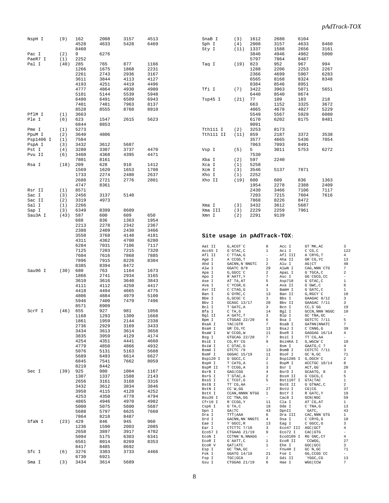| NspH I          | (9)        | 162<br>4528  | 2008<br>4633 | 3157<br>5428 | 4513<br>6469 |
|-----------------|------------|--------------|--------------|--------------|--------------|
| Pac I           | (2)        | 8460<br>9    | 6276         |              |              |
| PaeR7<br>I      | (1)        | 2252         |              |              |              |
| Pal I           | (40)       | 285          | 765          | 877          | 1166         |
|                 |            | 1266         | 1675         | 1868         | 2231         |
|                 |            | 2261         | 2743         | 2936         | 3167         |
|                 |            | 3611         | 3844         | 4113         | 4127         |
|                 |            | 4193<br>4777 | 4251<br>4864 | 4419<br>4930 | 4496<br>4980 |
|                 |            | 5101         | 5144         | 5539         | 5948         |
|                 |            | 6480         | 6491         | 6509         | 6943         |
|                 |            | 7401         | 7481         | 7963         | 8137         |
|                 |            | 8528         | 8555         | 8768         | 8910         |
| PflM I          | (1)        | 3663         |              |              |              |
| Ple I           | (6)        | 623<br>6844  | 1547         | 2615         | 5623         |
| Pme I           | (1)        | 5273         | 8853         |              |              |
| PpuM I          | (2)        | 3640         | 4806         |              |              |
| Psp1406<br>Ι    | (1)        | 7584         |              |              |              |
| PspA I          | (3)        | 3432         | 3612         | 5687         |              |
| Pst I           | (4)        | 3280         | 3307         | 3737         | 4470         |
| Pvu II          | (6)        | 3460         | 4368         | 4395         | 4471         |
| Rsa I           | (18)       | 7801<br>209  | 8161<br>628  | 910          | 1412         |
|                 |            | 1569         | 1620         | 1653         | 1708         |
|                 |            | 1733         | 2274         | 2480         | 2637         |
|                 |            | 2688         | 2721         | 2776         | 2801         |
|                 |            | 4747         | 8361         |              |              |
| Rsr II          | (1)        | 8571         |              |              |              |
| Sac I<br>Sac II | (3)<br>(2) | 2456<br>3319 | 3137<br>4973 | 5140         |              |
| Sal I           | (1)        | 2266         |              |              |              |
| Sap I           | (3)        | 6349         | 8399         | 8609         |              |
| Sau3A I         | (43)       | 587          | 600          | 609          | 650          |
|                 |            | 688          | 836          | 1363         | 1954         |
|                 |            | 2213<br>2388 | 2278<br>2409 | 2342<br>2430 | 2367<br>3466 |
|                 |            | 3558         | 3768         | 4148         | 4181         |
|                 |            | 4311         | 4362         | 4700         | 6280         |
|                 |            | 6284         | 7031         | 7106         | 7117         |
|                 |            | 7125         | 7203         | 7215         | 7320         |
|                 |            | 7604         | 7616         | 7868         | 7885         |
|                 |            | 7896<br>8385 | 7915<br>8394 | 8226<br>8472 | 8304         |
| Sau96 I         | (30)       | 680          | 763          | 1164         | 1673         |
|                 |            | 1866         | 2741         | 2934         | 3165         |
|                 |            | 3610         | 3616         | 3640         | 3843         |
|                 |            | 4111         | 4112         | 4250         | 4417         |
|                 |            | 4418<br>4806 | 4494<br>4884 | 4665<br>4979 | 4775<br>5100 |
|                 |            | 5946         | 7400         | 7479         | 7496         |
|                 |            | 8571         | 8909         |              |              |
| ScrF I          | (46)       | 655          | 927          | 981          | 1056         |
|                 |            | 1168         | 1293         | 1309         | 1668         |
|                 |            | 1861<br>2736 | 1959<br>2929 | 2144<br>3169 | 2338<br>3433 |
|                 |            | 3434         | 3613         | 3614         | 3658         |
|                 |            | 3835         | 3959         | 4129         | 4174         |
|                 |            | 4254         | 4351         | 4441         | 4660         |
|                 |            | 4779         | 4850         | 4866         | 4932         |
|                 |            | 5076         | 5131         | 5163         | 5688         |
|                 |            | 5689<br>6845 | 6493<br>7541 | 6614<br>7662 | 6627<br>8059 |
|                 |            | 8219         | 8442         |              |              |
| Sec I           | (39)       | 925          | 980          | 1004         | 1167         |
|                 |            | 1307         | 1337         | 1588         | 2143         |
|                 |            | 2656         | 3161         | 3168         | 3316         |
|                 |            | 3432<br>3958 | 3612<br>4115 | 3834<br>4128 | 3846<br>4252 |
|                 |            | 4253         | 4350         | 4778         | 4794         |
|                 |            | 4865         | 4946         | 4970         | 4982         |
|                 |            | 5000         | 5075         | 5600         | 5687         |
|                 |            | 5688         | 5797         | 6625         | 7660         |
|                 |            | 7864         | 8218         | 8487         |              |
| SfaN I          | (23)       | 429<br>1236  | 846<br>1590  | 945<br>2003  | 960<br>2085  |
|                 |            | 2658         | 3897         | 3917         | 4702         |
|                 |            | 5094         | 5175         | 6303         | 6341         |
|                 |            | 6561         | 8014         | 8269         | 8353         |
|                 |            | 8417         | 8485         | 8692         |              |
| Sfc I           | (6)        | 3276<br>6730 | 3303<br>6921 | 3733         | 4466         |
| Sma I           | (3)        | 3434         | 3614         | 5689         |              |

| SnaB I                      | (3)                              | 1612         |                                   | 2680              | 6104                                |                |                               |
|-----------------------------|----------------------------------|--------------|-----------------------------------|-------------------|-------------------------------------|----------------|-------------------------------|
| Sph I                       | (4)                              | 2008         |                                   | 3157              | 4633                                | 8460           |                               |
| Sty I                       | (11)                             | 1337         |                                   | 1588              | 2656                                | 3161           |                               |
|                             |                                  | 3846         |                                   | 4946              | 4982                                | 5000           |                               |
|                             |                                  | 5797         |                                   | 7864              | 8487                                |                |                               |
| Taq I                       | (19)                             | 823          |                                   | 952               | 967                                 | 994            |                               |
|                             |                                  | 1288         |                                   | 2206              | 2253                                | 2267           |                               |
|                             |                                  | 2366<br>6565 |                                   | 4699<br>8168      | 5907<br>8324                        | 6283<br>8348   |                               |
|                             |                                  | 8384         |                                   | 8546              | 8951                                |                |                               |
| Tfi I                       | (7)                              | 3422         |                                   | 3963              | 5071                                | 5651           |                               |
|                             |                                  | 6440         |                                   | 8540              | 8674                                |                |                               |
| Tsp45 I                     | (21)                             | 77           |                                   | 109               | 183                                 | 218            |                               |
|                             |                                  | 663          |                                   | 1152              | 3325                                | 3672           |                               |
|                             |                                  | 4065         |                                   | 4678              | 4827                                | 5229           |                               |
|                             |                                  | 5549         |                                   | 5567              | 5929                                | 6080           |                               |
|                             |                                  | 6170         |                                   | 6202              | 8175                                | 8481           |                               |
|                             |                                  | 9091         |                                   |                   |                                     |                |                               |
| Tth111 I                    | (2)                              | 3253         |                                   | 8173              |                                     |                |                               |
| Tth111 II                   | (11)                             | 859          |                                   | 2187              | 3372                                | 3538           |                               |
|                             |                                  | 3577         |                                   | 4665              | 5436                                | 7054           |                               |
|                             |                                  | 7063         |                                   | 7093              | 8491                                |                |                               |
| Vsp I                       | (5)                              | 5            |                                   | 3011              | 5753                                | 6272           |                               |
|                             |                                  | 7530         |                                   |                   |                                     |                |                               |
| Xba I                       | (2)                              | 597          |                                   | 2240              |                                     |                |                               |
| Xca I                       | (1)                              | 5258         |                                   |                   |                                     |                |                               |
| Xcm I                       | (3)                              | 3546         |                                   | 5137              | 7871                                |                |                               |
| Xho I                       | (1)                              | 2252         |                                   |                   |                                     |                |                               |
| Xho II                      | (19)                             | 600<br>1954  |                                   | 609<br>2278       | 836<br>2388                         | 1363<br>2409   |                               |
|                             |                                  | 2430         |                                   | 3466              | 7106                                | 7117           |                               |
|                             |                                  | 7203         |                                   | 7215              | 7604                                | 7616           |                               |
|                             |                                  | 7868         |                                   | 8226              | 8472                                |                |                               |
| Xma I                       | (3)                              | 3432         |                                   | 3612              | 5687                                |                |                               |
| Xma III                     | (3)                              | 2229         |                                   | 2259              | 7961                                |                |                               |
| Xmn I                       | (2)                              | 2291         |                                   | 9139              |                                     |                |                               |
|                             |                                  |              |                                   |                   |                                     |                |                               |
| Site usage in pAdTrack-TOX: |                                  |              |                                   |                   |                                     |                |                               |
| Aat II                      | G, ACGT `C                       |              | 8                                 | Acc I             | GT`MK, AC                           |                | 3                             |
| Acc65 I                     | G`GTAC, C                        |              | $\mathbf{1}$                      | Aci I             | C`CG,C                              |                | 122                           |
| Afl II<br>Age I             | C`TTAA, G<br>A`CCGG, T           |              | $\sim$<br>$\mathbf{1}$            | Afl III<br>Aha II | A`CRYG,T<br>GR`CG,YC                |                | $\overline{4}$<br>13          |
| Ahd I                       |                                  |              |                                   | Alu I             | $AG$ $CT$                           |                | 48                            |
| Alw I                       | GACNN, N NNGTC 2<br>GGATC 8/9 29 |              |                                   | AlwN I            |                                     | CAG, NNN`CTG   | $7\phantom{.0}$               |
| Apa I                       | G, GGCC `C                       |              | $\overline{2}$                    | ApaL I            | G`TGCA, C                           |                | 2                             |
| Apo I                       | R`AATT,Y                         |              | $7\overline{ }$<br>5 <sup>5</sup> | Asc I             |                                     | GG`CGCG, CC    | $\frac{1}{2}$<br>$\mathbf{1}$ |
| Ase I<br>Ava I              | AT`TA, AT<br>C`YCGR, G           |              | $4 -$                             | Asp718<br>Ava II  | $G$ $GTAC$ , $C$<br>$G$ $GWC$ , $C$ |                | 8                             |
| Avr II                      | $C$ $CTAG$ , $G$                 |              | $\mathbf{1}$                      | BamH I            | G`GATC, C                           |                | 1                             |
| Ban I                       | G`GYRC, C                        |              | 13                                | Ban II            | G, RGCY`C                           |                | 10                            |
| Bbe I                       | G, GCGC `C                       |              | $\overline{3}$                    | Bbs I             |                                     | GAAGAC 8/12    | $\overline{3}$                |
| $\rm Bbv$ I<br>Bcl I        | GCAGC 13/17                      |              | 20                                | Bbv II<br>Bcn I   |                                     | GAAGAC 7/11    | 3                             |
|                             | T`GATC, A<br>$C^T A, G$          |              | $\overline{\mathbf{3}}$<br>14     | Bgl I             | $CC, S$ GG                          | GCCN, NNN`NGGC | 19<br>10                      |
| Bfa I<br>Bgl II             | A`GATC, T                        |              | $\overline{\mathbf{3}}$           | Blp I             | GC`TNA,GC                           |                | $\overline{\phantom{a}}$      |
| Bpm I                       | CTGGAG 22/20                     |              | $6\overline{6}$                   | Bsa I             |                                     | GGTCTC 7/11    | 5                             |
| BsaA I                      | YAC GTR                          |              | 7                                 | BsaB I            |                                     | GATNN   NNATC  | $7\phantom{.0}$               |
| BsaH I<br>BsaW I            | GR CG, YC<br>W`CCGG, W           |              | 13<br>11                          | BsaJ I<br>BseR I  | $C$ $CMNG$ , $G$                    | GAGGAG 16/14   | 39<br>$\overline{4}$          |
| $D_{CCT}$ T                 | CTCORC 220                       |              | 7                                 | $D \cap i \cap T$ | $TT^{\wedge}CCL^{\wedge}A$          |                |                               |

| Alw I    | GGATC 8/9        | 29                       | AlwN I    | CAG, NNN CTG     | 7                        |
|----------|------------------|--------------------------|-----------|------------------|--------------------------|
| Apa I    | G, GGCC `C       | 2                        | ApaL I    | G`TGCA, C        | 2                        |
| Apo I    | R`AATT, Y        | 7                        | Asc I     | GG`CGCG, CC      | $\overline{\phantom{a}}$ |
| Ase I    | AT`TA, AT        | 5                        | Asp718    | G`GTAC, C        | 1                        |
| Ava I    | C`YCGR, G        | 4                        | Ava II    | $G$ $GWC$ , $C$  | 8                        |
| Avr II   | C`CTAG, G        | 1                        | BamH I    | G`GATC, C        | 1                        |
| Ban I    | G`GYRC, C        | 13                       | Ban II    | G, RGCY `C       | 10                       |
| Bbe I    | G, GCGC `C       | 3                        | Bbs I     | GAAGAC 8/12      | 3                        |
| Bbv I    | GCAGC 13/17      | 20                       | Bby II    | GAAGAC 7/11      | 3                        |
| Bcl I    | T`GATC, A        | 3                        | Bcn I     | $CC, S$ GG       | 19                       |
| Bfa I    | $C^T A$ , G      | 14                       | Bql I     | GCCN, NNN 'NGGC  | 10                       |
| Bgl II   | A`GATC, T        | 3                        | Blp I     | GC `TNA, GC      | $\overline{\phantom{0}}$ |
| Bpm I    | CTGGAG 22/20     | 6                        | Bsa I     | GGTCTC 7/11      | 5                        |
| BsaA I   | YAC GTR          | 7                        | BsaB I    | GATNN NNATC      | 7                        |
| BsaH I   | GR CG, YC        | 13                       | BsaJ I    | $C$ $CMNG$ , $G$ | 39                       |
| BsaW I   | W`CCGG, W        | 11                       | BseR I    | GAGGAG 16/14     | 4                        |
| Bsq I    | GTGCAG 22/20     | 7                        | BsiC I    | TT CG, AA        | $\overline{\phantom{a}}$ |
| BsiE I   | CG, RY CG        | 9                        | BsiHKA I  | G, WGCW `C       | 10                       |
| BsiW I   | $C$ $GTAC$ , $G$ | $\overline{\phantom{a}}$ | Bsm I     | GAATG, C 7       | 4                        |
| BsmA I   | GTCTC 79         | 13                       | BsmB I    | CGTCTC 7/11      | 3                        |
| BsmF I   | GGGAC 15/19      | 11                       | BsoF I    | $GC^N$ , $GC$    | 71                       |
| Bsp120 I | G`GGCC, C        | $\overline{a}$           | Bsp1286 I | G, DGCH C        | 2                        |
| BspH I   | T`CATG, A        | 1                        | BspM I    | ACCTGC 10/14     | 8                        |
| BspM II  | T`CCGG, A        | 3                        | Bsr I     | ACT, GG          | 20                       |
| BsrB I   | GAG CGG          | $\overline{4}$           | BsrD I    | GCAATG, 8        | 3                        |
| BsrG I   | T`GTAC, A        | 2                        | BssH II   | G`CGCG, C        | 5                        |
| BssS I   | C`TCGT, G        | 5                        | Bst1107 I | <b>GTA</b> TAC   | $\,1$                    |
| BstB I   | TT`CG, AA        | $\overline{\phantom{0}}$ | BstE II   | G`GTNAC, C       | 2                        |
| BstN I   | $CC^W$ , GG      | 27                       | BstU I    | CG   CG          | 37                       |
| BstX I   | CCAN, NNNN `NTGG | 1                        | BstY I    | R`GATC, Y        | 19                       |
| Bsu36 I  | CC `TNA, GG      | $\overline{\phantom{a}}$ | Cac8 I    | <b>GCN NGC</b>   | 59                       |
| Cfr10 I  | R CCGG, Y        | 11                       | Cla I     | AT CG, AT        | $\mathbf{1}$             |
| Csp6 I   | $G^T A, C$       | 18                       | Dde I     | $C$ TNA, $G$     | 13                       |
| Dpn I    | GA TC            | 43                       | DpnII     | `GATC,           | 43                       |
| Dra I    | TTT   AAA        | 6                        | Dra III   | CAC, NNN GTG     | 1                        |
| Drd I    | GACNN, NN `NNGTC | 4                        | Dsa I     | $C$ $CRYG$ , $G$ | 10                       |
| Eae I    | Y`GGCC, R        | 13                       | Eag I     | C`GGCC, G        | 3                        |
| Ear I    | CTCTTC 7/10      | 3                        | Eco47 III | AGC GCT          | 4                        |
| Eco57 I  | CTGAAG 21/19     | 9                        | Eco72 I   | CAC GTG          | $\qquad \qquad -$        |
| EcoN I   | CCTNN `N, NNAGG  | $\overline{\phantom{0}}$ | Eco0109 I | RG`GNC, CY       | 4                        |
| EcoR I   | G`AATT, C        | 1                        | ECOR II   | CCWGG,           | 27                       |
| EcoR V   | GAT ATC          | 1                        | Ehe I     | GGC GCC          | 3                        |
| Esp I    | GC TNA, GC       | $\overline{\phantom{0}}$ | Fnu4H I   | $GC^N$ , $GC$    | 71                       |
| Fok I    | GGATG 14/18      | 21                       | Fse I     | GG, CCGG 'CC     | $\overline{\phantom{a}}$ |
| Fsp I    | TGC GCA          | $\overline{a}$           | Gdi II    | `YGGC, CG        | 13                       |
| Gsu I    | CTGGAG 21/19     | 6                        | Hae I     | WGG CCW          | 7                        |